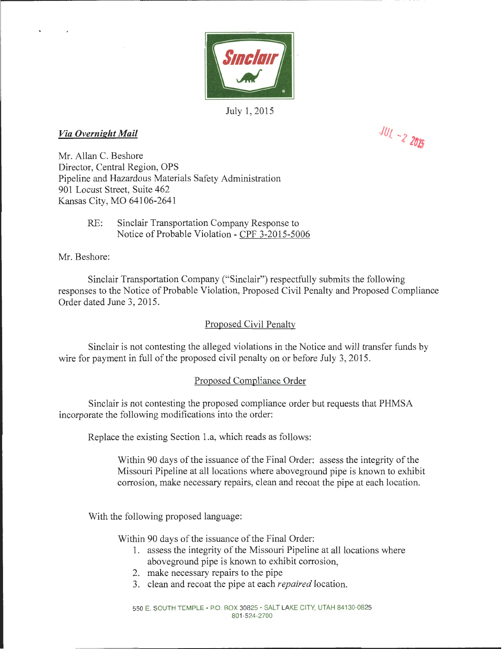

July 1, 2015

## *Via Overnight Mail*

**JUL -2 2015** 

Mr. Allan C. Beshore Director, Central Region, OPS Pipeline and Hazardous Materials Safety Administration 901 Locust Street, Suite 462 Kansas City, MO 64106-2641

> RE: Sinclair Transportation Company Response to Notice of Probable Violation - CPF 3-2015-5006

Mr. Beshore:

Sinclair Transportation Company ("Sinclair") respectfully submits the following responses to the Notice of Probable Violation, Proposed Civil Penalty and Proposed Compliance Order dated June 3, 2015.

## Proposed Civil Penalty

Sinclair is not contesting the alleged violations in the Notice and will transfer funds by wire for payment in full of the proposed civil penalty on or before July 3, 2015.

## Proposed Compliance Order

Sinclair is not contesting the proposed compliance order but requests that PHMSA incorporate the following modifications into the order:

Replace the existing Section 1.a, which reads as follows:

Within 90 days of the issuance of the Final Order: assess the integrity of the Missouri Pipeline at all locations where aboveground pipe is known to exhibit corrosion, make necessary repairs, clean and recoat the pipe at each location.

With the following proposed language:

Within 90 days of the issuance of the Final Order:

- 1. assess the integrity of the Missouri Pipeline at all locations where aboveground pipe is known to exhibit corrosion,
- 2. make necessary repairs to the pipe
- 3. clean and recoat the pipe at each *repaired* location.